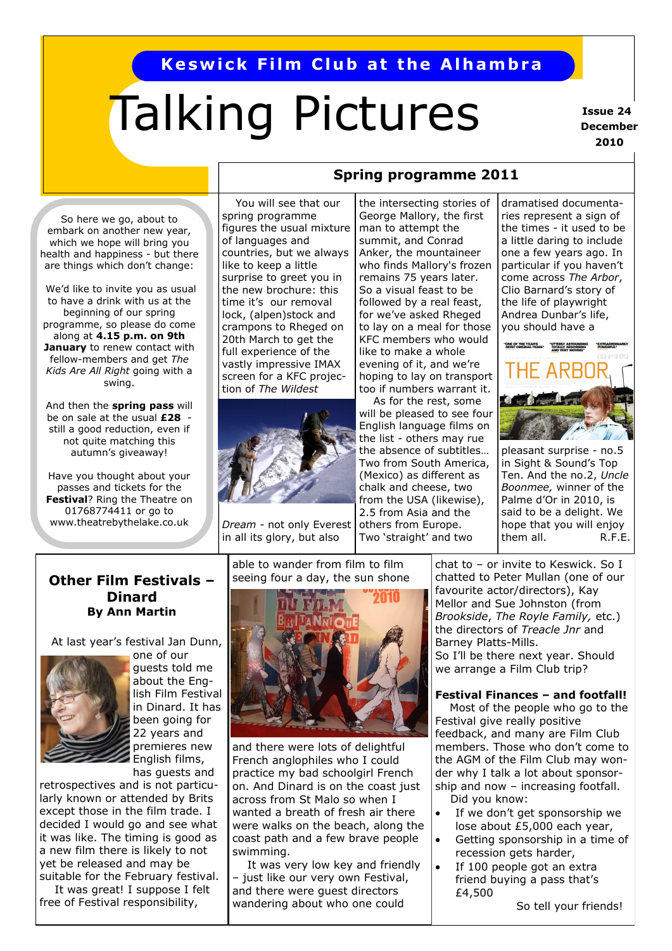## **Keswick Film Club at the Alhambra**

# Talking Pictures

**Issue 24 December 2010**

So here we go, about to embark on another new year, which we hope will bring you health and happiness - but there are things which don't change:

We'd like to invite you as usual to have a drink with us at the beginning of our spring programme, so please do come along at **4.15 p.m. on 9th January** to renew contact with fellow-members and get *The Kids Are All Right* going with a swing.

And then the **spring pass** will be on sale at the usual **£28**  still a good reduction, even if not quite matching this autumn's giveaway!

Have you thought about your passes and tickets for the **Festival**? Ring the Theatre on 01768774411 or go to www.theatrebythelake.co.uk

 You will see that our spring programme figures the usual mixture of languages and countries, but we always like to keep a little surprise to greet you in the new brochure: this time it's our removal lock, (alpen)stock and crampons to Rheged on 20th March to get the full experience of the vastly impressive IMAX screen for a KFC projection of *The Wildest* 



*Dream -* not only Everest in all its glory, but also

the intersecting stories of George Mallory, the first man to attempt the summit, and Conrad Anker, the mountaineer who finds Mallory's frozen remains 75 years later. So a visual feast to be followed by a real feast, for we've asked Rheged to lay on a meal for those KFC members who would like to make a whole evening of it, and we're hoping to lay on transport too if numbers warrant it.

**Spring programme 2011**

 As for the rest, some will be pleased to see four English language films on the list - others may rue the absence of subtitles… Two from South America, (Mexico) as different as chalk and cheese, two from the USA (likewise), 2.5 from Asia and the others from Europe.

Two 'straight' and two

dramatised documentaries represent a sign of the times - it used to be a little daring to include one a few years ago. In particular if you haven't come across *The Arbor*, Clio Barnard's story of the life of playwright Andrea Dunbar's life, you should have a



pleasant surprise - no.5 in Sight & Sound's Top Ten. And the no.2, *Uncle Boonmee,* winner of the Palme d'Or in 2010, is said to be a delight. We hope that you will enjoy them all. R.F.E.

#### **Other Film Festivals – Dinard By Ann Martin**

At last year's festival Jan Dunn,



one of our guests told me about the English Film Festival in Dinard. It has been going for 22 years and premieres new English films, has guests and

retrospectives and is not particularly known or attended by Brits except those in the film trade. I decided I would go and see what it was like. The timing is good as a new film there is likely to not yet be released and may be suitable for the February festival.

 It was great! I suppose I felt free of Festival responsibility,

able to wander from film to film seeing four a day, the sun shone



and there were lots of delightful French anglophiles who I could practice my bad schoolgirl French on. And Dinard is on the coast just across from St Malo so when I wanted a breath of fresh air there were walks on the beach, along the coast path and a few brave people swimming.

 It was very low key and friendly – just like our very own Festival, and there were guest directors wandering about who one could

chat to – or invite to Keswick. So I chatted to Peter Mullan (one of our favourite actor/directors), Kay Mellor and Sue Johnston (from *Brookside*, *The Royle Family,* etc.) the directors of *Treacle Jnr* and Barney Platts-Mills.

So I'll be there next year. Should we arrange a Film Club trip?

#### **Festival Finances – and footfall!**

Most of the people who go to the Festival give really positive feedback, and many are Film Club members. Those who don't come to the AGM of the Film Club may wonder why I talk a lot about sponsorship and now – increasing footfall. Did you know:

- If we don't get sponsorship we lose about £5,000 each year,
- Getting sponsorship in a time of recession gets harder,
- If 100 people got an extra friend buying a pass that's £4,500

So tell your friends!